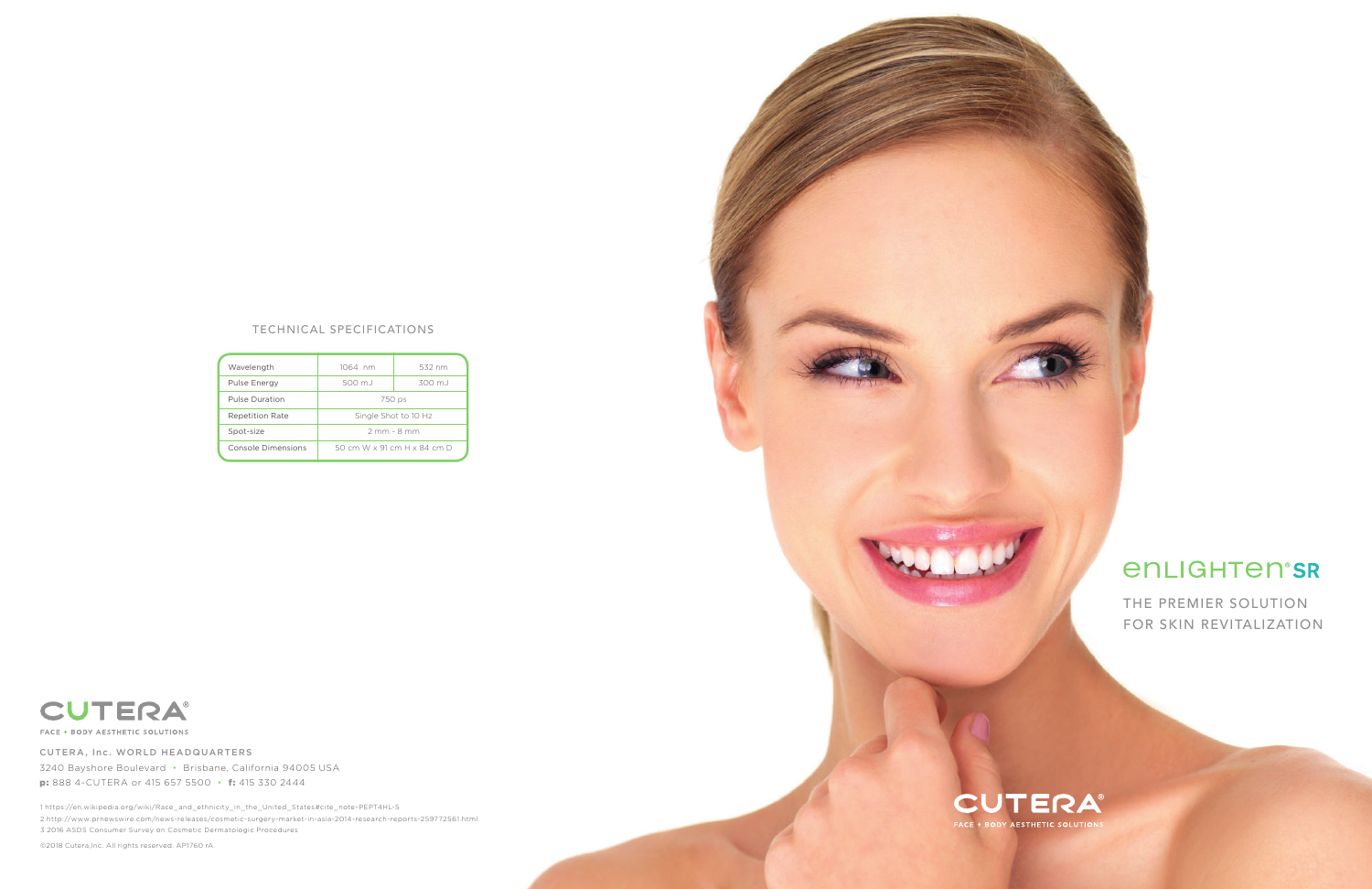©2018 Cutera,Inc. All rights reserved. AP1760 rA



# *<u>ENLIGHTENSR</u>*

THE PREMIER SOLUTION FOR SKIN REVITALIZATION

| Wavelength             | 1064 nm                     | 532 nm  |
|------------------------|-----------------------------|---------|
| Pulse Energy           | 500 m.J                     | 300 m.J |
| Pulse Duration         | 750 ps                      |         |
| <b>Repetition Rate</b> | Single Shot to 10 Hz        |         |
| Spot-size              | $2$ mm - $8$ mm             |         |
| Console Dimensions     | 50 cm W x 91 cm H x 84 cm D |         |



FACE + BODY AESTHETIC SOLUTIONS

### TECHNICAL SPECIFICATIONS

1 https://en.wikipedia.org/wiki/Race\_and\_ethnicity\_in\_the\_United\_States#cite\_note-PEPT4HL-5

2 http://www.prnewswire.com/news-releases/cosmetic-surgery-market-in-asia-2014-research-reports-259772561.html

3 2016 ASDS Consumer Survey on Cosmetic Dermatologic Procedures

CUTERA, Inc. WORLD HEADQUARTERS 3240 Bayshore Boulevard • Brisbane, California 94005 USA p: 888 4-CUTERA or 415 657 5500 • f: 415 330 2444